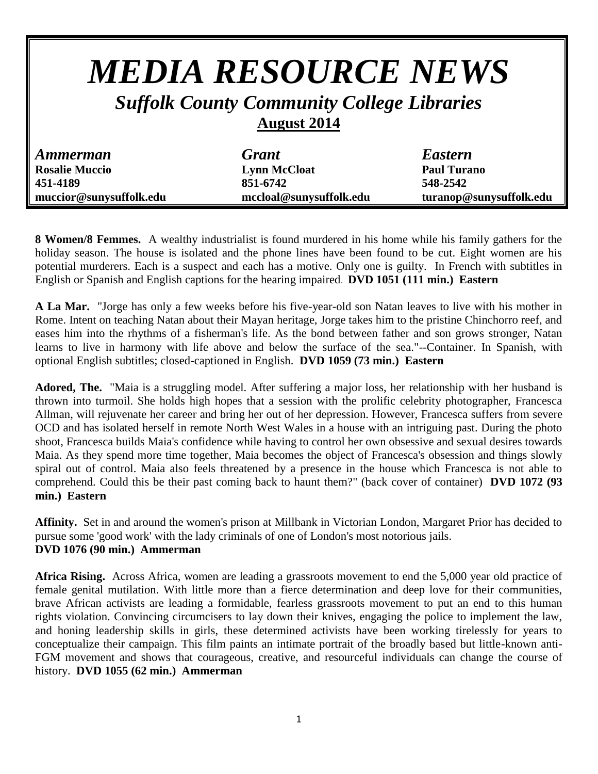# *MEDIA RESOURCE NEWS Suffolk County Community College Libraries*

## **August 2014**

| <b>Ammerman</b>         | <b>Grant</b>            | <b>Eastern</b>          |
|-------------------------|-------------------------|-------------------------|
| <b>Rosalie Muccio</b>   | <b>Lynn McCloat</b>     | <b>Paul Turano</b>      |
| 451-4189                | 851-6742                | 548-2542                |
| muccior@sunysuffolk.edu | mccloal@sunysuffolk.edu | turanop@sunysuffolk.edu |

**8 Women/8 Femmes.** A wealthy industrialist is found murdered in his home while his family gathers for the holiday season. The house is isolated and the phone lines have been found to be cut. Eight women are his potential murderers. Each is a suspect and each has a motive. Only one is guilty. In French with subtitles in English or Spanish and English captions for the hearing impaired. **DVD 1051 (111 min.) Eastern**

**A La Mar.** "Jorge has only a few weeks before his five-year-old son Natan leaves to live with his mother in Rome. Intent on teaching Natan about their Mayan heritage, Jorge takes him to the pristine Chinchorro reef, and eases him into the rhythms of a fisherman's life. As the bond between father and son grows stronger, Natan learns to live in harmony with life above and below the surface of the sea."--Container. In Spanish, with optional English subtitles; closed-captioned in English. **DVD 1059 (73 min.) Eastern**

**Adored, The.** "Maia is a struggling model. After suffering a major loss, her relationship with her husband is thrown into turmoil. She holds high hopes that a session with the prolific celebrity photographer, Francesca Allman, will rejuvenate her career and bring her out of her depression. However, Francesca suffers from severe OCD and has isolated herself in remote North West Wales in a house with an intriguing past. During the photo shoot, Francesca builds Maia's confidence while having to control her own obsessive and sexual desires towards Maia. As they spend more time together, Maia becomes the object of Francesca's obsession and things slowly spiral out of control. Maia also feels threatened by a presence in the house which Francesca is not able to comprehend. Could this be their past coming back to haunt them?" (back cover of container) **DVD 1072 (93 min.) Eastern**

**Affinity.** Set in and around the women's prison at Millbank in Victorian London, Margaret Prior has decided to pursue some 'good work' with the lady criminals of one of London's most notorious jails. **DVD 1076 (90 min.) Ammerman**

**Africa Rising.** Across Africa, women are leading a grassroots movement to end the 5,000 year old practice of female genital mutilation. With little more than a fierce determination and deep love for their communities, brave African activists are leading a formidable, fearless grassroots movement to put an end to this human rights violation. Convincing circumcisers to lay down their knives, engaging the police to implement the law, and honing leadership skills in girls, these determined activists have been working tirelessly for years to conceptualize their campaign. This film paints an intimate portrait of the broadly based but little-known anti-FGM movement and shows that courageous, creative, and resourceful individuals can change the course of history. **DVD 1055 (62 min.) Ammerman**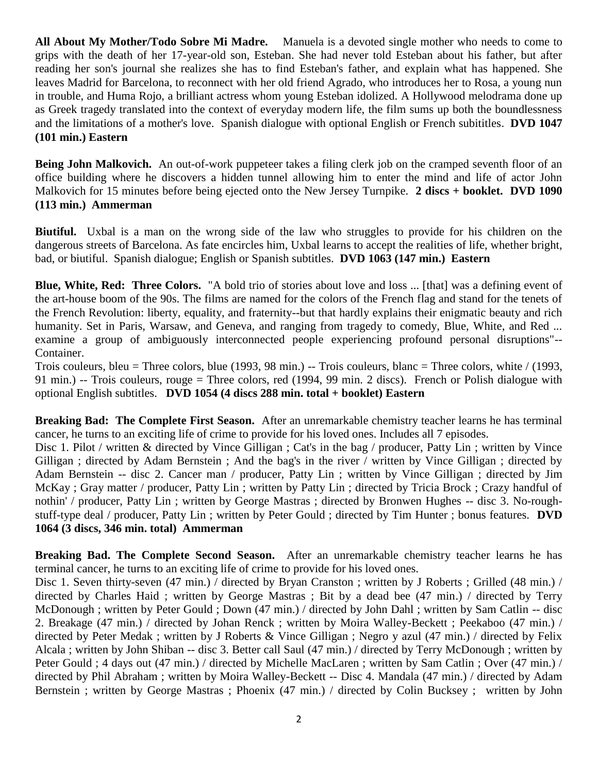**All About My Mother/Todo Sobre Mi Madre.** Manuela is a devoted single mother who needs to come to grips with the death of her 17-year-old son, Esteban. She had never told Esteban about his father, but after reading her son's journal she realizes she has to find Esteban's father, and explain what has happened. She leaves Madrid for Barcelona, to reconnect with her old friend Agrado, who introduces her to Rosa, a young nun in trouble, and Huma Rojo, a brilliant actress whom young Esteban idolized. A Hollywood melodrama done up as Greek tragedy translated into the context of everyday modern life, the film sums up both the boundlessness and the limitations of a mother's love. Spanish dialogue with optional English or French subititles. **DVD 1047 (101 min.) Eastern**

**Being John Malkovich.** An out-of-work puppeteer takes a filing clerk job on the cramped seventh floor of an office building where he discovers a hidden tunnel allowing him to enter the mind and life of actor John Malkovich for 15 minutes before being ejected onto the New Jersey Turnpike. **2 discs + booklet. DVD 1090 (113 min.) Ammerman**

**Biutiful.** Uxbal is a man on the wrong side of the law who struggles to provide for his children on the dangerous streets of Barcelona. As fate encircles him, Uxbal learns to accept the realities of life, whether bright, bad, or biutiful. Spanish dialogue; English or Spanish subtitles. **DVD 1063 (147 min.) Eastern**

**Blue, White, Red: Three Colors.** "A bold trio of stories about love and loss ... [that] was a defining event of the art-house boom of the 90s. The films are named for the colors of the French flag and stand for the tenets of the French Revolution: liberty, equality, and fraternity--but that hardly explains their enigmatic beauty and rich humanity. Set in Paris, Warsaw, and Geneva, and ranging from tragedy to comedy, Blue, White, and Red ... examine a group of ambiguously interconnected people experiencing profound personal disruptions"-- Container.

Trois couleurs, bleu = Three colors, blue (1993, 98 min.) -- Trois couleurs, blanc = Three colors, white / (1993, 91 min.) -- Trois couleurs, rouge = Three colors, red (1994, 99 min. 2 discs). French or Polish dialogue with optional English subtitles. **DVD 1054 (4 discs 288 min. total + booklet) Eastern**

**Breaking Bad: The Complete First Season.** After an unremarkable chemistry teacher learns he has terminal cancer, he turns to an exciting life of crime to provide for his loved ones. Includes all 7 episodes.

Disc 1. Pilot / written & directed by Vince Gilligan ; Cat's in the bag / producer, Patty Lin ; written by Vince Gilligan ; directed by Adam Bernstein ; And the bag's in the river / written by Vince Gilligan ; directed by Adam Bernstein -- disc 2. Cancer man / producer, Patty Lin ; written by Vince Gilligan ; directed by Jim McKay ; Gray matter / producer, Patty Lin ; written by Patty Lin ; directed by Tricia Brock ; Crazy handful of nothin' / producer, Patty Lin ; written by George Mastras ; directed by Bronwen Hughes -- disc 3. No-roughstuff-type deal / producer, Patty Lin ; written by Peter Gould ; directed by Tim Hunter ; bonus features. **DVD 1064 (3 discs, 346 min. total) Ammerman**

**Breaking Bad. The Complete Second Season.** After an unremarkable chemistry teacher learns he has terminal cancer, he turns to an exciting life of crime to provide for his loved ones.

Disc 1. Seven thirty-seven (47 min.) / directed by Bryan Cranston ; written by J Roberts ; Grilled (48 min.) / directed by Charles Haid ; written by George Mastras ; Bit by a dead bee (47 min.) / directed by Terry McDonough ; written by Peter Gould ; Down (47 min.) / directed by John Dahl ; written by Sam Catlin -- disc 2. Breakage (47 min.) / directed by Johan Renck ; written by Moira Walley-Beckett ; Peekaboo (47 min.) / directed by Peter Medak ; written by J Roberts & Vince Gilligan ; Negro y azul (47 min.) / directed by Felix Alcala ; written by John Shiban -- disc 3. Better call Saul (47 min.) / directed by Terry McDonough ; written by Peter Gould ; 4 days out (47 min.) / directed by Michelle MacLaren ; written by Sam Catlin ; Over (47 min.) / directed by Phil Abraham ; written by Moira Walley-Beckett -- Disc 4. Mandala (47 min.) / directed by Adam Bernstein ; written by George Mastras ; Phoenix (47 min.) / directed by Colin Bucksey ; written by John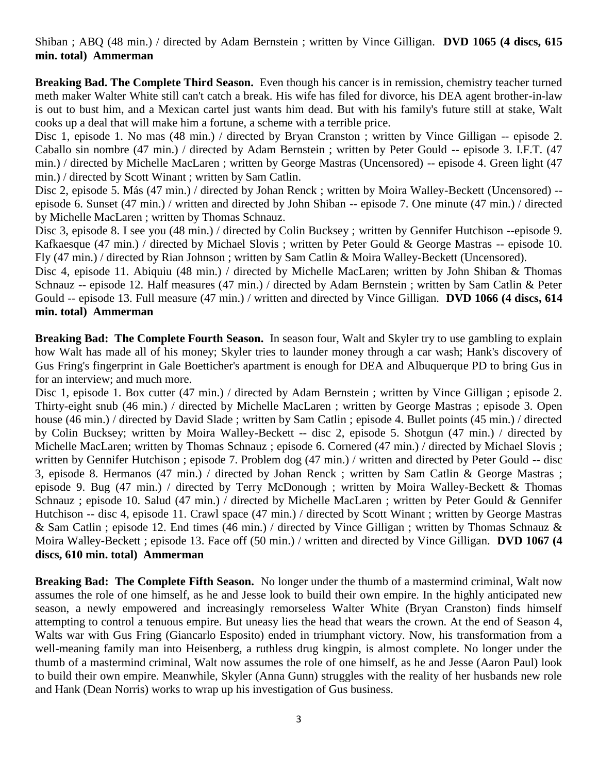#### Shiban ; ABQ (48 min.) / directed by Adam Bernstein ; written by Vince Gilligan. **DVD 1065 (4 discs, 615 min. total) Ammerman**

**Breaking Bad. The Complete Third Season.** Even though his cancer is in remission, chemistry teacher turned meth maker Walter White still can't catch a break. His wife has filed for divorce, his DEA agent brother-in-law is out to bust him, and a Mexican cartel just wants him dead. But with his family's future still at stake, Walt cooks up a deal that will make him a fortune, a scheme with a terrible price.

Disc 1, episode 1. No mas (48 min.) / directed by Bryan Cranston ; written by Vince Gilligan -- episode 2. Caballo sin nombre (47 min.) / directed by Adam Bernstein ; written by Peter Gould -- episode 3. I.F.T. (47 min.) / directed by Michelle MacLaren ; written by George Mastras (Uncensored) -- episode 4. Green light (47 min.) / directed by Scott Winant ; written by Sam Catlin.

Disc 2, episode 5. Más (47 min.) / directed by Johan Renck ; written by Moira Walley-Beckett (Uncensored) - episode 6. Sunset (47 min.) / written and directed by John Shiban -- episode 7. One minute (47 min.) / directed by Michelle MacLaren ; written by Thomas Schnauz.

Disc 3, episode 8. I see you (48 min.) / directed by Colin Bucksey ; written by Gennifer Hutchison --episode 9. Kafkaesque (47 min.) / directed by Michael Slovis ; written by Peter Gould & George Mastras -- episode 10. Fly (47 min.) / directed by Rian Johnson ; written by Sam Catlin & Moira Walley-Beckett (Uncensored).

Disc 4, episode 11. Abiquiu (48 min.) / directed by Michelle MacLaren; written by John Shiban & Thomas Schnauz -- episode 12. Half measures (47 min.) / directed by Adam Bernstein ; written by Sam Catlin & Peter Gould -- episode 13. Full measure (47 min.) / written and directed by Vince Gilligan. **DVD 1066 (4 discs, 614 min. total) Ammerman**

**Breaking Bad: The Complete Fourth Season.** In season four, Walt and Skyler try to use gambling to explain how Walt has made all of his money; Skyler tries to launder money through a car wash; Hank's discovery of Gus Fring's fingerprint in Gale Boetticher's apartment is enough for DEA and Albuquerque PD to bring Gus in for an interview; and much more.

Disc 1, episode 1. Box cutter (47 min.) / directed by Adam Bernstein ; written by Vince Gilligan ; episode 2. Thirty-eight snub (46 min.) / directed by Michelle MacLaren ; written by George Mastras ; episode 3. Open house (46 min.) / directed by David Slade; written by Sam Catlin; episode 4. Bullet points (45 min.) / directed by Colin Bucksey; written by Moira Walley-Beckett -- disc 2, episode 5. Shotgun (47 min.) / directed by Michelle MacLaren; written by Thomas Schnauz ; episode 6. Cornered (47 min.) / directed by Michael Slovis ; written by Gennifer Hutchison; episode 7. Problem dog (47 min.) / written and directed by Peter Gould -- disc 3, episode 8. Hermanos (47 min.) / directed by Johan Renck ; written by Sam Catlin & George Mastras ; episode 9. Bug (47 min.) / directed by Terry McDonough ; written by Moira Walley-Beckett & Thomas Schnauz ; episode 10. Salud (47 min.) / directed by Michelle MacLaren ; written by Peter Gould & Gennifer Hutchison -- disc 4, episode 11. Crawl space (47 min.) / directed by Scott Winant ; written by George Mastras & Sam Catlin ; episode 12. End times (46 min.) / directed by Vince Gilligan ; written by Thomas Schnauz & Moira Walley-Beckett ; episode 13. Face off (50 min.) / written and directed by Vince Gilligan. **DVD 1067 (4 discs, 610 min. total) Ammerman**

**Breaking Bad: The Complete Fifth Season.** No longer under the thumb of a mastermind criminal, Walt now assumes the role of one himself, as he and Jesse look to build their own empire. In the highly anticipated new season, a newly empowered and increasingly remorseless Walter White (Bryan Cranston) finds himself attempting to control a tenuous empire. But uneasy lies the head that wears the crown. At the end of Season 4, Walts war with Gus Fring (Giancarlo Esposito) ended in triumphant victory. Now, his transformation from a well-meaning family man into Heisenberg, a ruthless drug kingpin, is almost complete. No longer under the thumb of a mastermind criminal, Walt now assumes the role of one himself, as he and Jesse (Aaron Paul) look to build their own empire. Meanwhile, Skyler (Anna Gunn) struggles with the reality of her husbands new role and Hank (Dean Norris) works to wrap up his investigation of Gus business.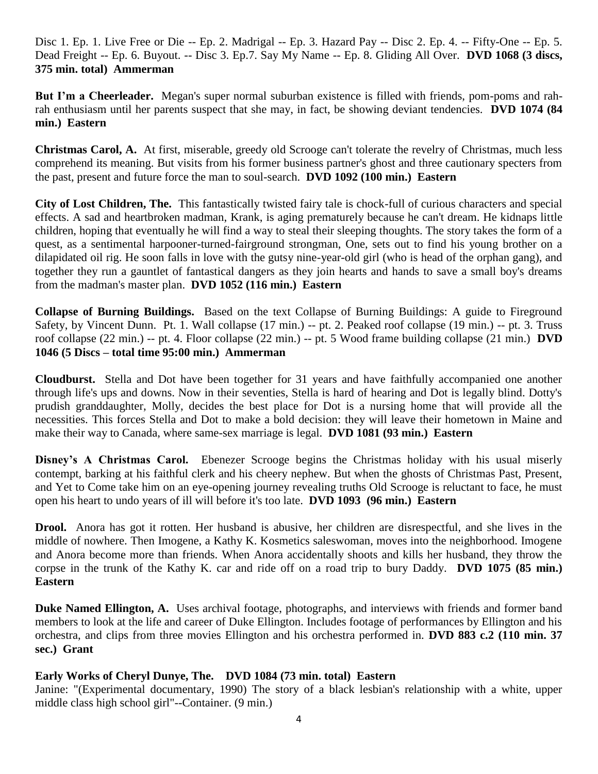Disc 1. Ep. 1. Live Free or Die -- Ep. 2. Madrigal -- Ep. 3. Hazard Pay -- Disc 2. Ep. 4. -- Fifty-One -- Ep. 5. Dead Freight -- Ep. 6. Buyout. -- Disc 3. Ep.7. Say My Name -- Ep. 8. Gliding All Over. **DVD 1068 (3 discs, 375 min. total) Ammerman**

**But I'm a Cheerleader.** Megan's super normal suburban existence is filled with friends, pom-poms and rahrah enthusiasm until her parents suspect that she may, in fact, be showing deviant tendencies. **DVD 1074 (84 min.) Eastern**

**Christmas Carol, A.** At first, miserable, greedy old Scrooge can't tolerate the revelry of Christmas, much less comprehend its meaning. But visits from his former business partner's ghost and three cautionary specters from the past, present and future force the man to soul-search. **DVD 1092 (100 min.) Eastern**

**City of Lost Children, The.** This fantastically twisted fairy tale is chock-full of curious characters and special effects. A sad and heartbroken madman, Krank, is aging prematurely because he can't dream. He kidnaps little children, hoping that eventually he will find a way to steal their sleeping thoughts. The story takes the form of a quest, as a sentimental harpooner-turned-fairground strongman, One, sets out to find his young brother on a dilapidated oil rig. He soon falls in love with the gutsy nine-year-old girl (who is head of the orphan gang), and together they run a gauntlet of fantastical dangers as they join hearts and hands to save a small boy's dreams from the madman's master plan. **DVD 1052 (116 min.) Eastern**

**Collapse of Burning Buildings.** Based on the text Collapse of Burning Buildings: A guide to Fireground Safety, by Vincent Dunn. Pt. 1. Wall collapse (17 min.) -- pt. 2. Peaked roof collapse (19 min.) -- pt. 3. Truss roof collapse (22 min.) -- pt. 4. Floor collapse (22 min.) -- pt. 5 Wood frame building collapse (21 min.) **DVD 1046 (5 Discs – total time 95:00 min.) Ammerman**

**Cloudburst.** Stella and Dot have been together for 31 years and have faithfully accompanied one another through life's ups and downs. Now in their seventies, Stella is hard of hearing and Dot is legally blind. Dotty's prudish granddaughter, Molly, decides the best place for Dot is a nursing home that will provide all the necessities. This forces Stella and Dot to make a bold decision: they will leave their hometown in Maine and make their way to Canada, where same-sex marriage is legal. **DVD 1081 (93 min.) Eastern**

**Disney's A Christmas Carol.** Ebenezer Scrooge begins the Christmas holiday with his usual miserly contempt, barking at his faithful clerk and his cheery nephew. But when the ghosts of Christmas Past, Present, and Yet to Come take him on an eye-opening journey revealing truths Old Scrooge is reluctant to face, he must open his heart to undo years of ill will before it's too late. **DVD 1093 (96 min.) Eastern**

**Drool.** Anora has got it rotten. Her husband is abusive, her children are disrespectful, and she lives in the middle of nowhere. Then Imogene, a Kathy K. Kosmetics saleswoman, moves into the neighborhood. Imogene and Anora become more than friends. When Anora accidentally shoots and kills her husband, they throw the corpse in the trunk of the Kathy K. car and ride off on a road trip to bury Daddy. **DVD 1075 (85 min.) Eastern**

**Duke Named Ellington, A.** Uses archival footage, photographs, and interviews with friends and former band members to look at the life and career of Duke Ellington. Includes footage of performances by Ellington and his orchestra, and clips from three movies Ellington and his orchestra performed in. **DVD 883 c.2 (110 min. 37 sec.) Grant** 

#### **Early Works of Cheryl Dunye, The. DVD 1084 (73 min. total) Eastern**

Janine: "(Experimental documentary, 1990) The story of a black lesbian's relationship with a white, upper middle class high school girl"--Container. (9 min.)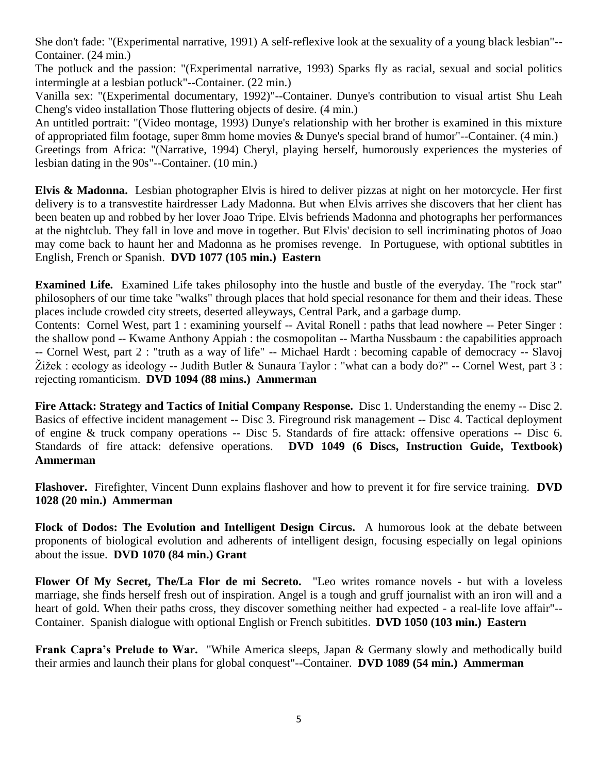She don't fade: "(Experimental narrative, 1991) A self-reflexive look at the sexuality of a young black lesbian"-- Container. (24 min.)

The potluck and the passion: "(Experimental narrative, 1993) Sparks fly as racial, sexual and social politics intermingle at a lesbian potluck"--Container. (22 min.)

Vanilla sex: "(Experimental documentary, 1992)"--Container. Dunye's contribution to visual artist Shu Leah Cheng's video installation Those fluttering objects of desire. (4 min.)

An untitled portrait: "(Video montage, 1993) Dunye's relationship with her brother is examined in this mixture of appropriated film footage, super 8mm home movies & Dunye's special brand of humor"--Container. (4 min.) Greetings from Africa: "(Narrative, 1994) Cheryl, playing herself, humorously experiences the mysteries of lesbian dating in the 90s"--Container. (10 min.)

**Elvis & Madonna.** Lesbian photographer Elvis is hired to deliver pizzas at night on her motorcycle. Her first delivery is to a transvestite hairdresser Lady Madonna. But when Elvis arrives she discovers that her client has been beaten up and robbed by her lover Joao Tripe. Elvis befriends Madonna and photographs her performances at the nightclub. They fall in love and move in together. But Elvis' decision to sell incriminating photos of Joao may come back to haunt her and Madonna as he promises revenge.In Portuguese, with optional subtitles in English, French or Spanish. **DVD 1077 (105 min.) Eastern**

**Examined Life.** Examined Life takes philosophy into the hustle and bustle of the everyday. The "rock star" philosophers of our time take "walks" through places that hold special resonance for them and their ideas. These places include crowded city streets, deserted alleyways, Central Park, and a garbage dump.

Contents: Cornel West, part 1 : examining yourself -- Avital Ronell : paths that lead nowhere -- Peter Singer : the shallow pond -- Kwame Anthony Appiah : the cosmopolitan -- Martha Nussbaum : the capabilities approach -- Cornel West, part 2 : "truth as a way of life" -- Michael Hardt : becoming capable of democracy -- Slavoj Žižek : ecology as ideology -- Judith Butler & Sunaura Taylor : "what can a body do?" -- Cornel West, part 3 : rejecting romanticism. **DVD 1094 (88 mins.) Ammerman**

**Fire Attack: Strategy and Tactics of Initial Company Response.** Disc 1. Understanding the enemy -- Disc 2. Basics of effective incident management -- Disc 3. Fireground risk management -- Disc 4. Tactical deployment of engine & truck company operations -- Disc 5. Standards of fire attack: offensive operations -- Disc 6. Standards of fire attack: defensive operations. **DVD 1049 (6 Discs, Instruction Guide, Textbook) Ammerman**

**Flashover.** Firefighter, Vincent Dunn explains flashover and how to prevent it for fire service training. **DVD 1028 (20 min.) Ammerman**

**Flock of Dodos: The Evolution and Intelligent Design Circus.** A humorous look at the debate between proponents of biological evolution and adherents of intelligent design, focusing especially on legal opinions about the issue. **DVD 1070 (84 min.) Grant**

**Flower Of My Secret, The/La Flor de mi Secreto.** "Leo writes romance novels - but with a loveless marriage, she finds herself fresh out of inspiration. Angel is a tough and gruff journalist with an iron will and a heart of gold. When their paths cross, they discover something neither had expected - a real-life love affair"-- Container. Spanish dialogue with optional English or French subititles. **DVD 1050 (103 min.) Eastern**

**Frank Capra's Prelude to War.** "While America sleeps, Japan & Germany slowly and methodically build their armies and launch their plans for global conquest"--Container. **DVD 1089 (54 min.) Ammerman**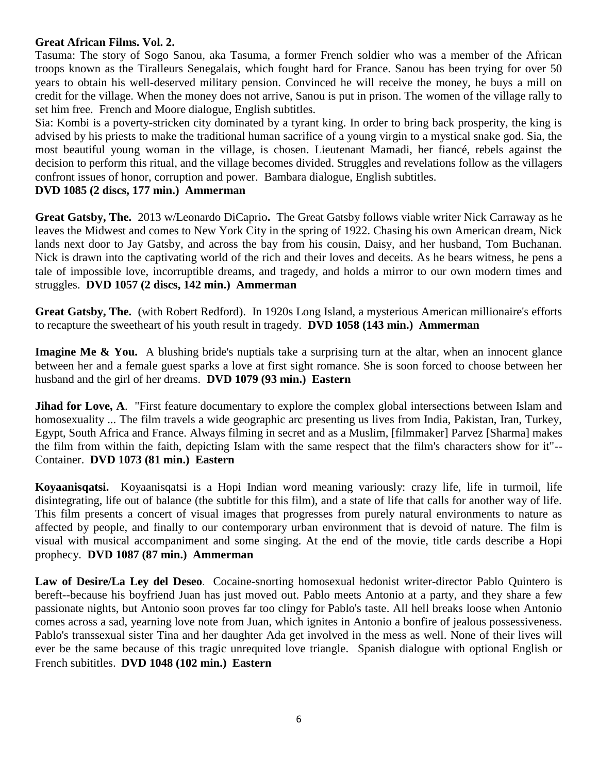#### **Great African Films. Vol. 2.**

Tasuma: The story of Sogo Sanou, aka Tasuma, a former French soldier who was a member of the African troops known as the Tiralleurs Senegalais, which fought hard for France. Sanou has been trying for over 50 years to obtain his well-deserved military pension. Convinced he will receive the money, he buys a mill on credit for the village. When the money does not arrive, Sanou is put in prison. The women of the village rally to set him free. French and Moore dialogue, English subtitles.

Sia: Kombi is a poverty-stricken city dominated by a tyrant king. In order to bring back prosperity, the king is advised by his priests to make the traditional human sacrifice of a young virgin to a mystical snake god. Sia, the most beautiful young woman in the village, is chosen. Lieutenant Mamadi, her fiancé, rebels against the decision to perform this ritual, and the village becomes divided. Struggles and revelations follow as the villagers confront issues of honor, corruption and power. Bambara dialogue, English subtitles.

#### **DVD 1085 (2 discs, 177 min.) Ammerman**

**Great Gatsby, The.** 2013 w/Leonardo DiCaprio**.** The Great Gatsby follows viable writer Nick Carraway as he leaves the Midwest and comes to New York City in the spring of 1922. Chasing his own American dream, Nick lands next door to Jay Gatsby, and across the bay from his cousin, Daisy, and her husband, Tom Buchanan. Nick is drawn into the captivating world of the rich and their loves and deceits. As he bears witness, he pens a tale of impossible love, incorruptible dreams, and tragedy, and holds a mirror to our own modern times and struggles. **DVD 1057 (2 discs, 142 min.) Ammerman**

**Great Gatsby, The.** (with Robert Redford). In 1920s Long Island, a mysterious American millionaire's efforts to recapture the sweetheart of his youth result in tragedy. **DVD 1058 (143 min.) Ammerman**

**Imagine Me & You.** A blushing bride's nuptials take a surprising turn at the altar, when an innocent glance between her and a female guest sparks a love at first sight romance. She is soon forced to choose between her husband and the girl of her dreams. **DVD 1079 (93 min.) Eastern**

**Jihad for Love, A.** "First feature documentary to explore the complex global intersections between Islam and homosexuality ... The film travels a wide geographic arc presenting us lives from India, Pakistan, Iran, Turkey, Egypt, South Africa and France. Always filming in secret and as a Muslim, [filmmaker] Parvez [Sharma] makes the film from within the faith, depicting Islam with the same respect that the film's characters show for it"-- Container. **DVD 1073 (81 min.) Eastern**

**Koyaanisqatsi.** Koyaanisqatsi is a Hopi Indian word meaning variously: crazy life, life in turmoil, life disintegrating, life out of balance (the subtitle for this film), and a state of life that calls for another way of life. This film presents a concert of visual images that progresses from purely natural environments to nature as affected by people, and finally to our contemporary urban environment that is devoid of nature. The film is visual with musical accompaniment and some singing. At the end of the movie, title cards describe a Hopi prophecy. **DVD 1087 (87 min.) Ammerman**

**Law of Desire/La Ley del Deseo**. Cocaine-snorting homosexual hedonist writer-director Pablo Quintero is bereft--because his boyfriend Juan has just moved out. Pablo meets Antonio at a party, and they share a few passionate nights, but Antonio soon proves far too clingy for Pablo's taste. All hell breaks loose when Antonio comes across a sad, yearning love note from Juan, which ignites in Antonio a bonfire of jealous possessiveness. Pablo's transsexual sister Tina and her daughter Ada get involved in the mess as well. None of their lives will ever be the same because of this tragic unrequited love triangle. Spanish dialogue with optional English or French subititles. **DVD 1048 (102 min.) Eastern**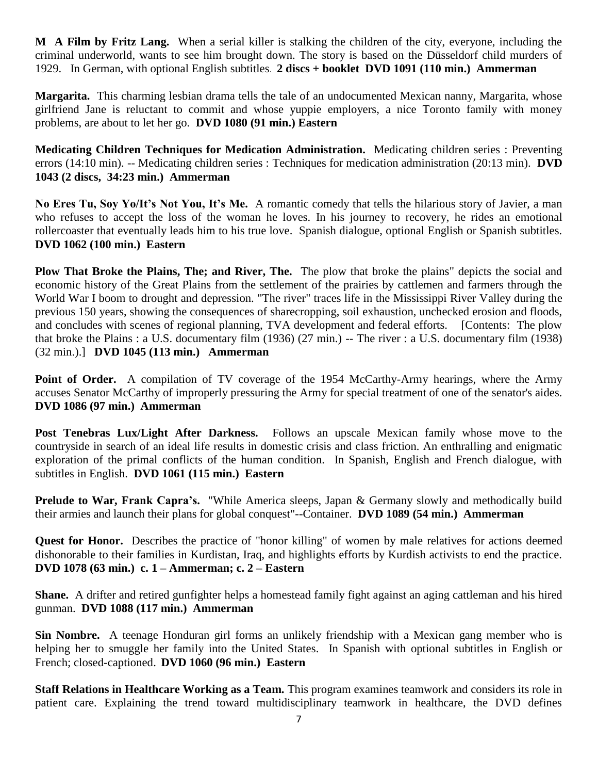**M A Film by Fritz Lang.** When a serial killer is stalking the children of the city, everyone, including the criminal underworld, wants to see him brought down. The story is based on the Düsseldorf child murders of 1929.In German, with optional English subtitles. **2 discs + booklet DVD 1091 (110 min.) Ammerman**

**Margarita.** This charming lesbian drama tells the tale of an undocumented Mexican nanny, Margarita, whose girlfriend Jane is reluctant to commit and whose yuppie employers, a nice Toronto family with money problems, are about to let her go. **DVD 1080 (91 min.) Eastern**

**Medicating Children Techniques for Medication Administration.** Medicating children series : Preventing errors (14:10 min). -- Medicating children series : Techniques for medication administration (20:13 min). **DVD 1043 (2 discs, 34:23 min.) Ammerman**

**No Eres Tu, Soy Yo/It's Not You, It's Me.** A romantic comedy that tells the hilarious story of Javier, a man who refuses to accept the loss of the woman he loves. In his journey to recovery, he rides an emotional rollercoaster that eventually leads him to his true love. Spanish dialogue, optional English or Spanish subtitles. **DVD 1062 (100 min.) Eastern**

**Plow That Broke the Plains, The; and River, The.** The plow that broke the plains" depicts the social and economic history of the Great Plains from the settlement of the prairies by cattlemen and farmers through the World War I boom to drought and depression. "The river" traces life in the Mississippi River Valley during the previous 150 years, showing the consequences of sharecropping, soil exhaustion, unchecked erosion and floods, and concludes with scenes of regional planning, TVA development and federal efforts. [Contents: The plow that broke the Plains : a U.S. documentary film (1936) (27 min.) -- The river : a U.S. documentary film (1938) (32 min.).] **DVD 1045 (113 min.) Ammerman**

**Point of Order.** A compilation of TV coverage of the 1954 McCarthy-Army hearings, where the Army accuses Senator McCarthy of improperly pressuring the Army for special treatment of one of the senator's aides. **DVD 1086 (97 min.) Ammerman**

**Post Tenebras Lux/Light After Darkness.** Follows an upscale Mexican family whose move to the countryside in search of an ideal life results in domestic crisis and class friction. An enthralling and enigmatic exploration of the primal conflicts of the human condition. In Spanish, English and French dialogue, with subtitles in English. **DVD 1061 (115 min.) Eastern**

**Prelude to War, Frank Capra's.** "While America sleeps, Japan & Germany slowly and methodically build their armies and launch their plans for global conquest"--Container. **DVD 1089 (54 min.) Ammerman**

**Quest for Honor.** Describes the practice of "honor killing" of women by male relatives for actions deemed dishonorable to their families in Kurdistan, Iraq, and highlights efforts by Kurdish activists to end the practice. **DVD 1078 (63 min.) c. 1 – Ammerman; c. 2 – Eastern**

**Shane.** A drifter and retired gunfighter helps a homestead family fight against an aging cattleman and his hired gunman. **DVD 1088 (117 min.) Ammerman**

**Sin Nombre.** A teenage Honduran girl forms an unlikely friendship with a Mexican gang member who is helping her to smuggle her family into the United States. In Spanish with optional subtitles in English or French; closed-captioned. **DVD 1060 (96 min.) Eastern**

**Staff Relations in Healthcare Working as a Team.** This program examines teamwork and considers its role in patient care. Explaining the trend toward multidisciplinary teamwork in healthcare, the DVD defines